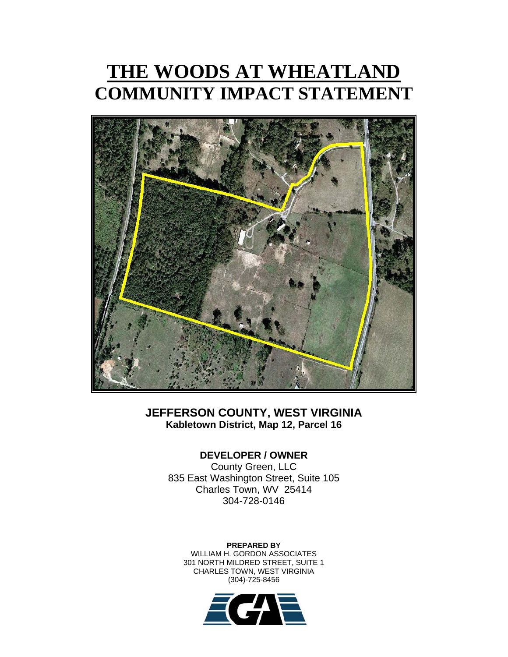# **THE WOODS AT WHEATLAND COMMUNITY IMPACT STATEMENT**



# **JEFFERSON COUNTY, WEST VIRGINIA Kabletown District, Map 12, Parcel 16**

# **DEVELOPER / OWNER**

County Green, LLC 835 East Washington Street, Suite 105 Charles Town, WV 25414 304-728-0146

**PREPARED BY**  WILLIAM H. GORDON ASSOCIATES 301 NORTH MILDRED STREET, SUITE 1 CHARLES TOWN, WEST VIRGINIA (304)-725-8456

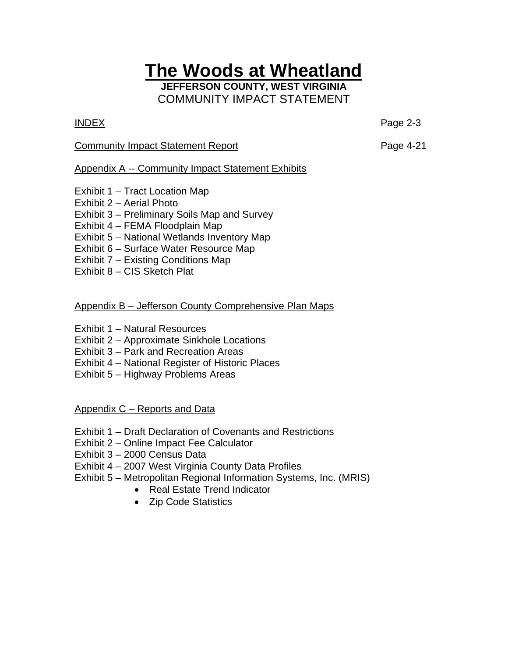# **The Woods at Wheatland**

**JEFFERSON COUNTY, WEST VIRGINIA**  COMMUNITY IMPACT STATEMENT

INDEX Page 2-3

## Community Impact Statement Report **Page 4-21**

# Appendix A -- Community Impact Statement Exhibits

- Exhibit 1 Tract Location Map
- Exhibit 2 Aerial Photo
- Exhibit 3 Preliminary Soils Map and Survey
- Exhibit 4 FEMA Floodplain Map
- Exhibit 5 National Wetlands Inventory Map
- Exhibit 6 Surface Water Resource Map
- Exhibit 7 Existing Conditions Map
- Exhibit 8 CIS Sketch Plat

# Appendix B – Jefferson County Comprehensive Plan Maps

- Exhibit 1 Natural Resources
- Exhibit 2 Approximate Sinkhole Locations
- Exhibit 3 Park and Recreation Areas
- Exhibit 4 National Register of Historic Places
- Exhibit 5 Highway Problems Areas

Appendix C – Reports and Data

- Exhibit 1 Draft Declaration of Covenants and Restrictions
- Exhibit 2 Online Impact Fee Calculator
- Exhibit 3 2000 Census Data
- Exhibit 4 2007 West Virginia County Data Profiles
- Exhibit 5 Metropolitan Regional Information Systems, Inc. (MRIS)
	- Real Estate Trend Indicator
	- Zip Code Statistics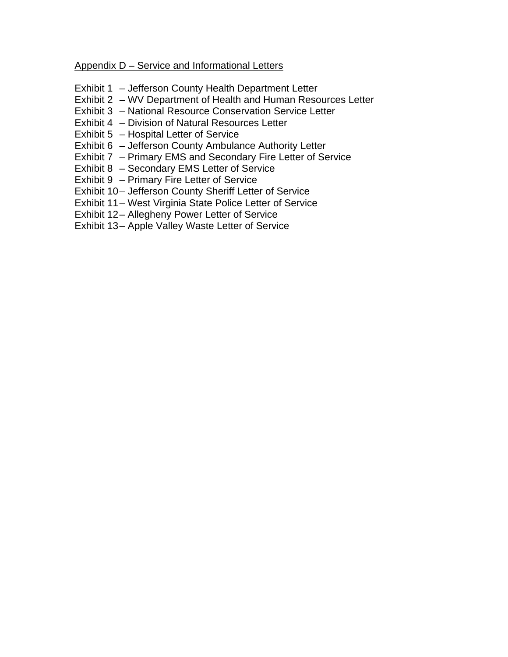Appendix D – Service and Informational Letters

- Exhibit 1 Jefferson County Health Department Letter
- Exhibit 2 WV Department of Health and Human Resources Letter
- Exhibit 3 National Resource Conservation Service Letter
- Exhibit 4 Division of Natural Resources Letter
- Exhibit 5 Hospital Letter of Service
- Exhibit 6 Jefferson County Ambulance Authority Letter
- Exhibit 7 Primary EMS and Secondary Fire Letter of Service
- Exhibit 8 Secondary EMS Letter of Service
- Exhibit 9 Primary Fire Letter of Service
- Exhibit 10- Jefferson County Sheriff Letter of Service
- Exhibit 11 West Virginia State Police Letter of Service
- Exhibit 12- Allegheny Power Letter of Service
- Exhibit 13- Apple Valley Waste Letter of Service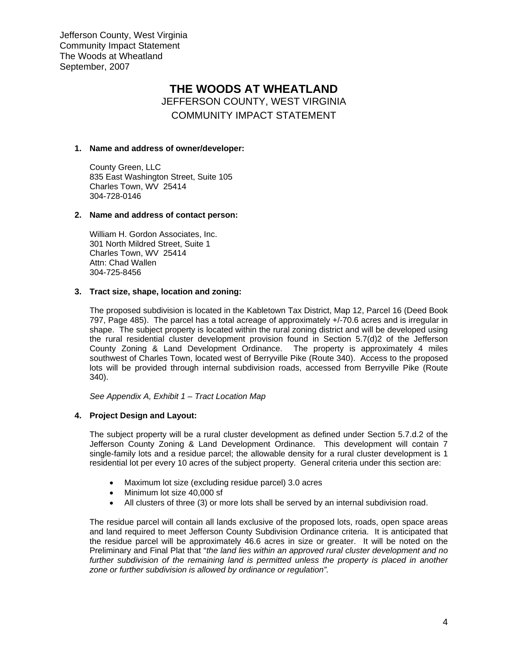## **THE WOODS AT WHEATLAND**  JEFFERSON COUNTY, WEST VIRGINIA COMMUNITY IMPACT STATEMENT

#### **1. Name and address of owner/developer:**

County Green, LLC 835 East Washington Street, Suite 105 Charles Town, WV 25414 304-728-0146

#### **2. Name and address of contact person:**

William H. Gordon Associates, Inc. 301 North Mildred Street, Suite 1 Charles Town, WV 25414 Attn: Chad Wallen 304-725-8456

#### **3. Tract size, shape, location and zoning:**

The proposed subdivision is located in the Kabletown Tax District, Map 12, Parcel 16 (Deed Book 797, Page 485). The parcel has a total acreage of approximately +/-70.6 acres and is irregular in shape. The subject property is located within the rural zoning district and will be developed using the rural residential cluster development provision found in Section 5.7(d)2 of the Jefferson County Zoning & Land Development Ordinance. The property is approximately 4 miles southwest of Charles Town, located west of Berryville Pike (Route 340). Access to the proposed lots will be provided through internal subdivision roads, accessed from Berryville Pike (Route 340).

*See Appendix A, Exhibit 1 – Tract Location Map* 

### **4. Project Design and Layout:**

The subject property will be a rural cluster development as defined under Section 5.7.d.2 of the Jefferson County Zoning & Land Development Ordinance. This development will contain 7 single-family lots and a residue parcel; the allowable density for a rural cluster development is 1 residential lot per every 10 acres of the subject property. General criteria under this section are:

- Maximum lot size (excluding residue parcel) 3.0 acres
- Minimum lot size 40,000 sf
- All clusters of three (3) or more lots shall be served by an internal subdivision road.

The residue parcel will contain all lands exclusive of the proposed lots, roads, open space areas and land required to meet Jefferson County Subdivision Ordinance criteria. It is anticipated that the residue parcel will be approximately 46.6 acres in size or greater. It will be noted on the Preliminary and Final Plat that "*the land lies within an approved rural cluster development and no*  further subdivision of the remaining land is permitted unless the property is placed in another *zone or further subdivision is allowed by ordinance or regulation".*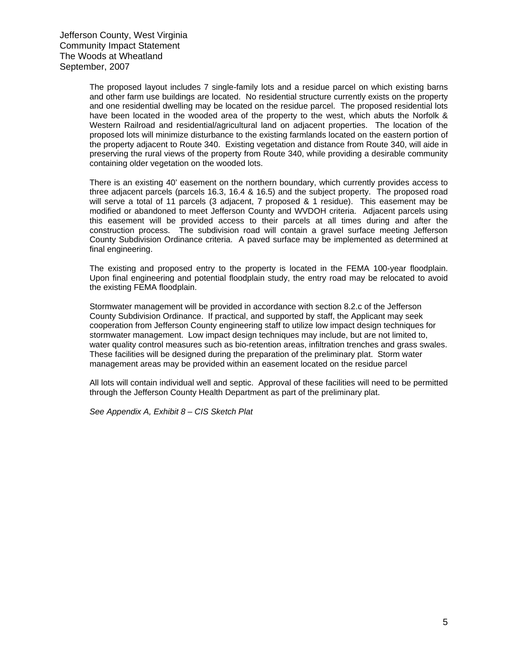The proposed layout includes 7 single-family lots and a residue parcel on which existing barns and other farm use buildings are located. No residential structure currently exists on the property and one residential dwelling may be located on the residue parcel. The proposed residential lots have been located in the wooded area of the property to the west, which abuts the Norfolk & Western Railroad and residential/agricultural land on adjacent properties. The location of the proposed lots will minimize disturbance to the existing farmlands located on the eastern portion of the property adjacent to Route 340. Existing vegetation and distance from Route 340, will aide in preserving the rural views of the property from Route 340, while providing a desirable community containing older vegetation on the wooded lots.

There is an existing 40' easement on the northern boundary, which currently provides access to three adjacent parcels (parcels 16.3, 16.4 & 16.5) and the subject property. The proposed road will serve a total of 11 parcels (3 adjacent, 7 proposed & 1 residue). This easement may be modified or abandoned to meet Jefferson County and WVDOH criteria. Adjacent parcels using this easement will be provided access to their parcels at all times during and after the construction process. The subdivision road will contain a gravel surface meeting Jefferson County Subdivision Ordinance criteria. A paved surface may be implemented as determined at final engineering.

The existing and proposed entry to the property is located in the FEMA 100-year floodplain. Upon final engineering and potential floodplain study, the entry road may be relocated to avoid the existing FEMA floodplain.

Stormwater management will be provided in accordance with section 8.2.c of the Jefferson County Subdivision Ordinance. If practical, and supported by staff, the Applicant may seek cooperation from Jefferson County engineering staff to utilize low impact design techniques for stormwater management. Low impact design techniques may include, but are not limited to, water quality control measures such as bio-retention areas, infiltration trenches and grass swales. These facilities will be designed during the preparation of the preliminary plat. Storm water management areas may be provided within an easement located on the residue parcel

All lots will contain individual well and septic. Approval of these facilities will need to be permitted through the Jefferson County Health Department as part of the preliminary plat.

*See Appendix A, Exhibit 8 – CIS Sketch Plat*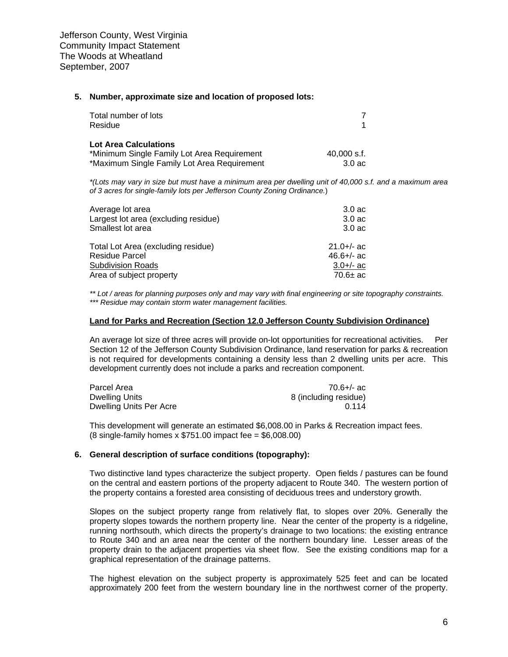#### **5. Number, approximate size and location of proposed lots:**

| Total number of lots<br>Residue             |                    |
|---------------------------------------------|--------------------|
| Lot Area Calculations                       |                    |
| *Minimum Single Family Lot Area Requirement | $40.000$ s.f.      |
| *Maximum Single Family Lot Area Requirement | 3.0 <sub>a</sub> c |

*\*(Lots may vary in size but must have a minimum area per dwelling unit of 40,000 s.f. and a maximum area of 3 acres for single-family lots per Jefferson County Zoning Ordinance.*)

| $3.0 a$ c          |
|--------------------|
| 3.0 <sub>a</sub> c |
| $3.0 a$ c          |
| $21.0 +/-$ ac      |
| $46.6 +/-$ ac      |
| $3.0 +/-$ ac       |
| 70.6 $\pm$ ac      |
|                    |

*\*\* Lot / areas for planning purposes only and may vary with final engineering or site topography constraints. \*\*\* Residue may contain storm water management facilities.*

#### **Land for Parks and Recreation (Section 12.0 Jefferson County Subdivision Ordinance)**

An average lot size of three acres will provide on-lot opportunities for recreational activities. Per Section 12 of the Jefferson County Subdivision Ordinance, land reservation for parks & recreation is not required for developments containing a density less than 2 dwelling units per acre. This development currently does not include a parks and recreation component.

| Parcel Area             | 70.6+/- ac            |
|-------------------------|-----------------------|
| Dwelling Units          | 8 (including residue) |
| Dwelling Units Per Acre | በ 114                 |

This development will generate an estimated \$6,008.00 in Parks & Recreation impact fees. (8 single-family homes x \$751.00 impact fee = \$6,008.00)

#### **6. General description of surface conditions (topography):**

Two distinctive land types characterize the subject property. Open fields / pastures can be found on the central and eastern portions of the property adjacent to Route 340. The western portion of the property contains a forested area consisting of deciduous trees and understory growth.

Slopes on the subject property range from relatively flat, to slopes over 20%. Generally the property slopes towards the northern property line. Near the center of the property is a ridgeline, running northsouth, which directs the property's drainage to two locations: the existing entrance to Route 340 and an area near the center of the northern boundary line. Lesser areas of the property drain to the adjacent properties via sheet flow. See the existing conditions map for a graphical representation of the drainage patterns.

The highest elevation on the subject property is approximately 525 feet and can be located approximately 200 feet from the western boundary line in the northwest corner of the property.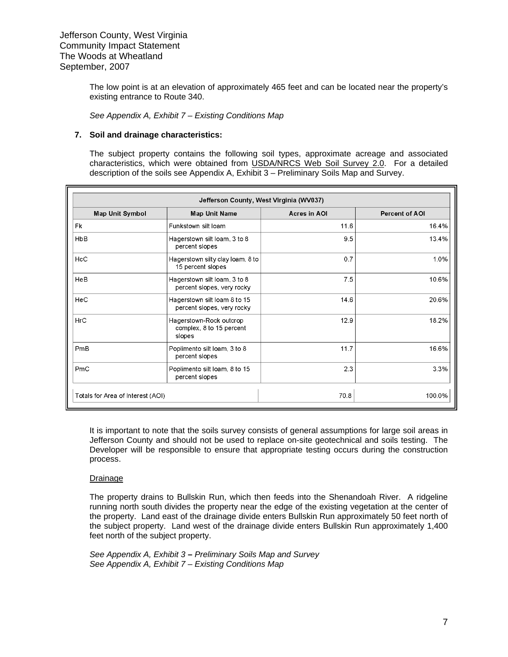The low point is at an elevation of approximately 465 feet and can be located near the property's existing entrance to Route 340.

*See Appendix A, Exhibit 7* – *Existing Conditions Map*

#### **7. Soil and drainage characteristics:**

The subject property contains the following soil types, approximate acreage and associated characteristics, which were obtained from USDA/NRCS Web Soil Survey 2.0. For a detailed description of the soils see Appendix A, Exhibit 3 – Preliminary Soils Map and Survey.

| Jefferson County, West Virginia (WV037) |                                                               |              |                |  |
|-----------------------------------------|---------------------------------------------------------------|--------------|----------------|--|
| <b>Map Unit Symbol</b>                  | <b>Map Unit Name</b>                                          | Acres in AOI | Percent of AOI |  |
| Fk                                      | Funkstown silt loam                                           | 11.6         | 16.4%          |  |
| HbB                                     | Hagerstown silt loam, 3 to 8<br>percent slopes                | 9.5          | 13.4%          |  |
| HcC                                     | Hagerstown silty clay loam, 8 to<br>15 percent slopes         | 0.7          | 1.0%           |  |
| HeB                                     | Hagerstown silt loam, 3 to 8<br>percent slopes, very rocky    | 7.5          | 10.6%          |  |
| HeC                                     | Hagerstown silt loam 8 to 15<br>percent slopes, very rocky    | 14.6         | 20.6%          |  |
| HrC                                     | Hagerstown-Rock outcrop<br>complex, 8 to 15 percent<br>slopes | 12.9         | 18.2%          |  |
| PmB                                     | Poplimento silt loam, 3 to 8<br>percent slopes                | 11.7         | 16.6%          |  |
| PmC                                     | Poplimento silt loam, 8 to 15<br>percent slopes               | 2.3          | 3.3%           |  |
| Totals for Area of Interest (AOI)       |                                                               | 70.8         | 100.0%         |  |

It is important to note that the soils survey consists of general assumptions for large soil areas in Jefferson County and should not be used to replace on-site geotechnical and soils testing. The Developer will be responsible to ensure that appropriate testing occurs during the construction process.

#### Drainage

The property drains to Bullskin Run, which then feeds into the Shenandoah River. A ridgeline running north south divides the property near the edge of the existing vegetation at the center of the property. Land east of the drainage divide enters Bullskin Run approximately 50 feet north of the subject property. Land west of the drainage divide enters Bullskin Run approximately 1,400 feet north of the subject property.

*See Appendix A, Exhibit 3* **–** *Preliminary Soils Map and Survey See Appendix A, Exhibit 7* – *Existing Conditions Map*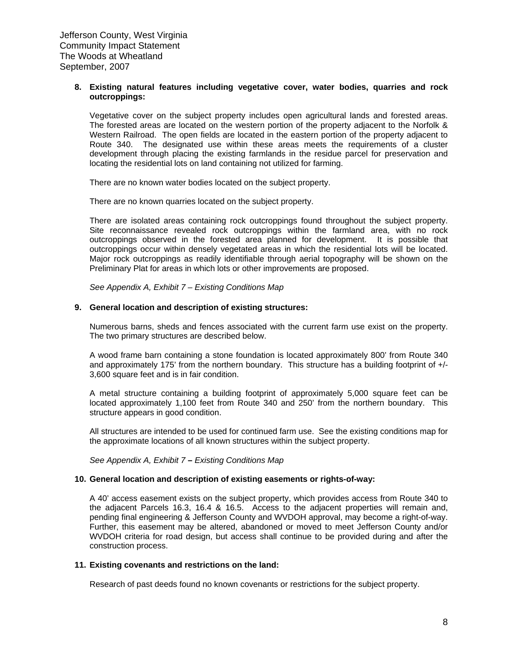#### **8. Existing natural features including vegetative cover, water bodies, quarries and rock outcroppings:**

Vegetative cover on the subject property includes open agricultural lands and forested areas. The forested areas are located on the western portion of the property adjacent to the Norfolk & Western Railroad. The open fields are located in the eastern portion of the property adjacent to Route 340. The designated use within these areas meets the requirements of a cluster development through placing the existing farmlands in the residue parcel for preservation and locating the residential lots on land containing not utilized for farming.

There are no known water bodies located on the subject property.

There are no known quarries located on the subject property.

There are isolated areas containing rock outcroppings found throughout the subject property. Site reconnaissance revealed rock outcroppings within the farmland area, with no rock outcroppings observed in the forested area planned for development. It is possible that outcroppings occur within densely vegetated areas in which the residential lots will be located. Major rock outcroppings as readily identifiable through aerial topography will be shown on the Preliminary Plat for areas in which lots or other improvements are proposed.

*See Appendix A, Exhibit 7 – Existing Conditions Map* 

#### **9. General location and description of existing structures:**

Numerous barns, sheds and fences associated with the current farm use exist on the property. The two primary structures are described below.

A wood frame barn containing a stone foundation is located approximately 800' from Route 340 and approximately 175' from the northern boundary. This structure has a building footprint of +/- 3,600 square feet and is in fair condition.

A metal structure containing a building footprint of approximately 5,000 square feet can be located approximately 1,100 feet from Route 340 and 250' from the northern boundary. This structure appears in good condition.

All structures are intended to be used for continued farm use. See the existing conditions map for the approximate locations of all known structures within the subject property.

*See Appendix A, Exhibit 7* **–** *Existing Conditions Map* 

#### **10. General location and description of existing easements or rights-of-way:**

A 40' access easement exists on the subject property, which provides access from Route 340 to the adjacent Parcels 16.3, 16.4 & 16.5. Access to the adjacent properties will remain and, pending final engineering & Jefferson County and WVDOH approval, may become a right-of-way. Further, this easement may be altered, abandoned or moved to meet Jefferson County and/or WVDOH criteria for road design, but access shall continue to be provided during and after the construction process.

#### **11. Existing covenants and restrictions on the land:**

Research of past deeds found no known covenants or restrictions for the subject property.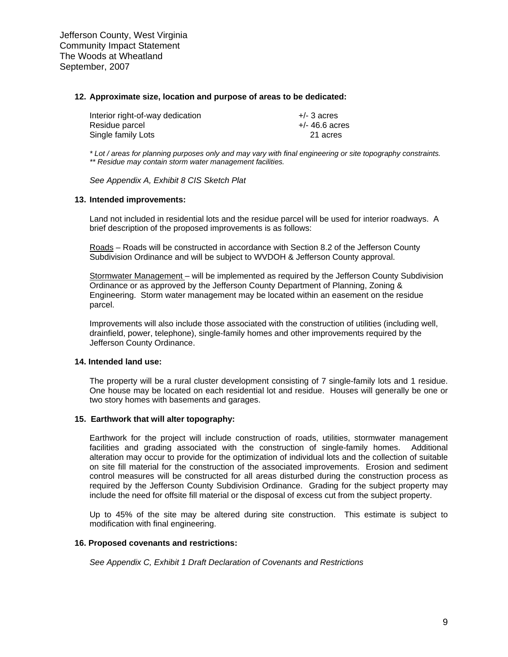#### **12. Approximate size, location and purpose of areas to be dedicated:**

| Interior right-of-way dedication | $+/-$ 3 acres    |
|----------------------------------|------------------|
| Residue parcel                   | $+/- 46.6$ acres |
| Single family Lots               | 21 acres         |

*\* Lot / areas for planning purposes only and may vary with final engineering or site topography constraints. \*\* Residue may contain storm water management facilities.*

*See Appendix A, Exhibit 8 CIS Sketch Plat* 

#### **13. Intended improvements:**

Land not included in residential lots and the residue parcel will be used for interior roadways. A brief description of the proposed improvements is as follows:

Roads – Roads will be constructed in accordance with Section 8.2 of the Jefferson County Subdivision Ordinance and will be subject to WVDOH & Jefferson County approval.

Stormwater Management – will be implemented as required by the Jefferson County Subdivision Ordinance or as approved by the Jefferson County Department of Planning, Zoning & Engineering. Storm water management may be located within an easement on the residue parcel.

Improvements will also include those associated with the construction of utilities (including well, drainfield, power, telephone), single-family homes and other improvements required by the Jefferson County Ordinance.

#### **14. Intended land use:**

The property will be a rural cluster development consisting of 7 single-family lots and 1 residue. One house may be located on each residential lot and residue. Houses will generally be one or two story homes with basements and garages.

#### **15. Earthwork that will alter topography:**

Earthwork for the project will include construction of roads, utilities, stormwater management facilities and grading associated with the construction of single-family homes. Additional alteration may occur to provide for the optimization of individual lots and the collection of suitable on site fill material for the construction of the associated improvements. Erosion and sediment control measures will be constructed for all areas disturbed during the construction process as required by the Jefferson County Subdivision Ordinance. Grading for the subject property may include the need for offsite fill material or the disposal of excess cut from the subject property.

Up to 45% of the site may be altered during site construction. This estimate is subject to modification with final engineering.

#### **16. Proposed covenants and restrictions:**

*See Appendix C, Exhibit 1 Draft Declaration of Covenants and Restrictions*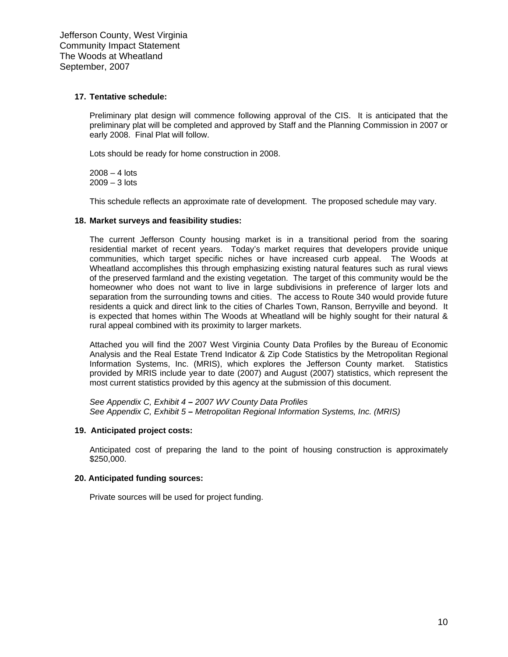#### **17. Tentative schedule:**

Preliminary plat design will commence following approval of the CIS. It is anticipated that the preliminary plat will be completed and approved by Staff and the Planning Commission in 2007 or early 2008. Final Plat will follow.

Lots should be ready for home construction in 2008.

 $2008 - 4$  lots 2009 – 3 lots

This schedule reflects an approximate rate of development. The proposed schedule may vary.

#### **18. Market surveys and feasibility studies:**

The current Jefferson County housing market is in a transitional period from the soaring residential market of recent years. Today's market requires that developers provide unique communities, which target specific niches or have increased curb appeal. The Woods at Wheatland accomplishes this through emphasizing existing natural features such as rural views of the preserved farmland and the existing vegetation. The target of this community would be the homeowner who does not want to live in large subdivisions in preference of larger lots and separation from the surrounding towns and cities. The access to Route 340 would provide future residents a quick and direct link to the cities of Charles Town, Ranson, Berryville and beyond. It is expected that homes within The Woods at Wheatland will be highly sought for their natural & rural appeal combined with its proximity to larger markets.

Attached you will find the 2007 West Virginia County Data Profiles by the Bureau of Economic Analysis and the Real Estate Trend Indicator & Zip Code Statistics by the Metropolitan Regional Information Systems, Inc. (MRIS), which explores the Jefferson County market. Statistics provided by MRIS include year to date (2007) and August (2007) statistics, which represent the most current statistics provided by this agency at the submission of this document.

*See Appendix C, Exhibit 4 – 2007 WV County Data Profiles See Appendix C, Exhibit 5 – Metropolitan Regional Information Systems, Inc. (MRIS)*

#### **19. Anticipated project costs:**

Anticipated cost of preparing the land to the point of housing construction is approximately \$250,000.

#### **20. Anticipated funding sources:**

Private sources will be used for project funding.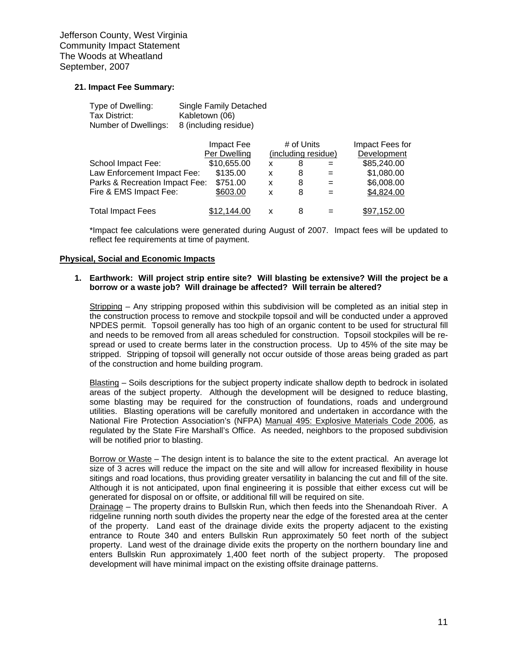#### **21. Impact Fee Summary:**

| Type of Dwelling:    | <b>Single Family Detached</b> |
|----------------------|-------------------------------|
| Tax District:        | Kabletown (06)                |
| Number of Dwellings: | 8 (including residue)         |

|                                | Impact Fee   |   | # of Units          |     | Impact Fees for |
|--------------------------------|--------------|---|---------------------|-----|-----------------|
|                                | Per Dwelling |   | (including residue) |     | Development     |
| School Impact Fee:             | \$10,655.00  | x | 8                   | $=$ | \$85,240.00     |
| Law Enforcement Impact Fee:    | \$135.00     | x | 8                   | $=$ | \$1,080.00      |
| Parks & Recreation Impact Fee: | \$751.00     | x | 8                   | $=$ | \$6,008.00      |
| Fire & EMS Impact Fee:         | \$603.00     | x | 8                   | $=$ | \$4,824.00      |
| <b>Total Impact Fees</b>       | \$12.144.00  | x | 8                   | $=$ | \$97,152.00     |

 \*Impact fee calculations were generated during August of 2007. Impact fees will be updated to reflect fee requirements at time of payment.

#### **Physical, Social and Economic Impacts**

#### **1. Earthwork: Will project strip entire site? Will blasting be extensive? Will the project be a borrow or a waste job? Will drainage be affected? Will terrain be altered?**

Stripping – Any stripping proposed within this subdivision will be completed as an initial step in the construction process to remove and stockpile topsoil and will be conducted under a approved NPDES permit. Topsoil generally has too high of an organic content to be used for structural fill and needs to be removed from all areas scheduled for construction. Topsoil stockpiles will be respread or used to create berms later in the construction process. Up to 45% of the site may be stripped. Stripping of topsoil will generally not occur outside of those areas being graded as part of the construction and home building program.

Blasting – Soils descriptions for the subject property indicate shallow depth to bedrock in isolated areas of the subject property. Although the development will be designed to reduce blasting, some blasting may be required for the construction of foundations, roads and underground utilities. Blasting operations will be carefully monitored and undertaken in accordance with the National Fire Protection Association's (NFPA) Manual 495: Explosive Materials Code 2006, as regulated by the State Fire Marshall's Office. As needed, neighbors to the proposed subdivision will be notified prior to blasting.

Borrow or Waste – The design intent is to balance the site to the extent practical. An average lot size of 3 acres will reduce the impact on the site and will allow for increased flexibility in house sitings and road locations, thus providing greater versatility in balancing the cut and fill of the site. Although it is not anticipated, upon final engineering it is possible that either excess cut will be generated for disposal on or offsite, or additional fill will be required on site.

Drainage – The property drains to Bullskin Run, which then feeds into the Shenandoah River. A ridgeline running north south divides the property near the edge of the forested area at the center of the property. Land east of the drainage divide exits the property adjacent to the existing entrance to Route 340 and enters Bullskin Run approximately 50 feet north of the subject property. Land west of the drainage divide exits the property on the northern boundary line and enters Bullskin Run approximately 1,400 feet north of the subject property. The proposed development will have minimal impact on the existing offsite drainage patterns.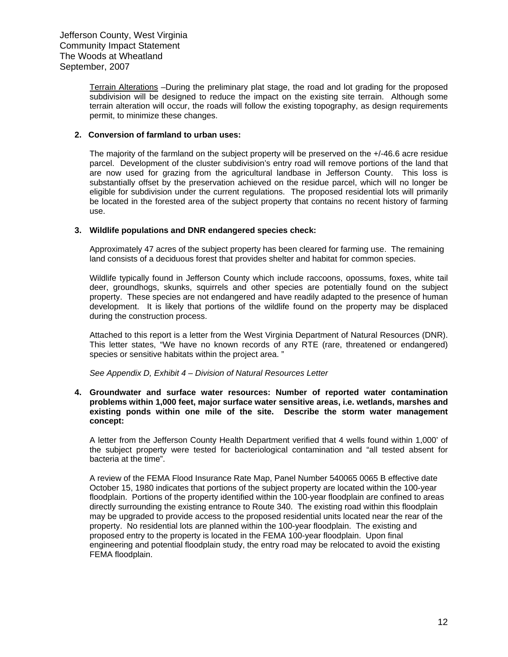Terrain Alterations –During the preliminary plat stage, the road and lot grading for the proposed subdivision will be designed to reduce the impact on the existing site terrain. Although some terrain alteration will occur, the roads will follow the existing topography, as design requirements permit, to minimize these changes.

#### **2. Conversion of farmland to urban uses:**

The majority of the farmland on the subject property will be preserved on the +/-46.6 acre residue parcel. Development of the cluster subdivision's entry road will remove portions of the land that are now used for grazing from the agricultural landbase in Jefferson County. This loss is substantially offset by the preservation achieved on the residue parcel, which will no longer be eligible for subdivision under the current regulations. The proposed residential lots will primarily be located in the forested area of the subject property that contains no recent history of farming use.

#### **3. Wildlife populations and DNR endangered species check:**

Approximately 47 acres of the subject property has been cleared for farming use. The remaining land consists of a deciduous forest that provides shelter and habitat for common species.

Wildlife typically found in Jefferson County which include raccoons, opossums, foxes, white tail deer, groundhogs, skunks, squirrels and other species are potentially found on the subject property. These species are not endangered and have readily adapted to the presence of human development. It is likely that portions of the wildlife found on the property may be displaced during the construction process.

Attached to this report is a letter from the West Virginia Department of Natural Resources (DNR). This letter states, "We have no known records of any RTE (rare, threatened or endangered) species or sensitive habitats within the project area. "

 *See Appendix D, Exhibit 4 – Division of Natural Resources Letter* 

**4. Groundwater and surface water resources: Number of reported water contamination problems within 1,000 feet, major surface water sensitive areas, i.e. wetlands, marshes and existing ponds within one mile of the site. Describe the storm water management concept:** 

A letter from the Jefferson County Health Department verified that 4 wells found within 1,000' of the subject property were tested for bacteriological contamination and "all tested absent for bacteria at the time".

A review of the FEMA Flood Insurance Rate Map, Panel Number 540065 0065 B effective date October 15, 1980 indicates that portions of the subject property are located within the 100-year floodplain. Portions of the property identified within the 100-year floodplain are confined to areas directly surrounding the existing entrance to Route 340. The existing road within this floodplain may be upgraded to provide access to the proposed residential units located near the rear of the property. No residential lots are planned within the 100-year floodplain. The existing and proposed entry to the property is located in the FEMA 100-year floodplain. Upon final engineering and potential floodplain study, the entry road may be relocated to avoid the existing FEMA floodplain.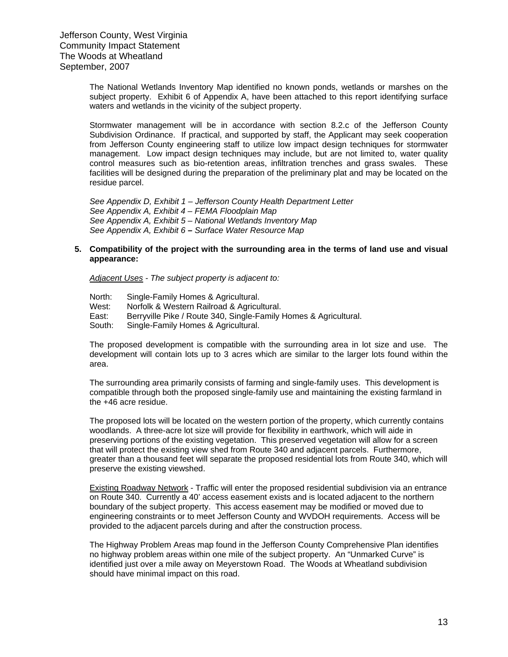The National Wetlands Inventory Map identified no known ponds, wetlands or marshes on the subject property. Exhibit 6 of Appendix A, have been attached to this report identifying surface waters and wetlands in the vicinity of the subject property.

Stormwater management will be in accordance with section 8.2.c of the Jefferson County Subdivision Ordinance. If practical, and supported by staff, the Applicant may seek cooperation from Jefferson County engineering staff to utilize low impact design techniques for stormwater management. Low impact design techniques may include, but are not limited to, water quality control measures such as bio-retention areas, infiltration trenches and grass swales. These facilities will be designed during the preparation of the preliminary plat and may be located on the residue parcel.

*See Appendix D, Exhibit 1 – Jefferson County Health Department Letter See Appendix A, Exhibit 4 – FEMA Floodplain Map See Appendix A, Exhibit 5 – National Wetlands Inventory Map See Appendix A, Exhibit 6 – Surface Water Resource Map* 

#### **5. Compatibility of the project with the surrounding area in the terms of land use and visual appearance:**

*Adjacent Uses - The subject property is adjacent to:*

North: Single-Family Homes & Agricultural.

West: Norfolk & Western Railroad & Agricultural.

East: Berryville Pike / Route 340, Single-Family Homes & Agricultural.

South: Single-Family Homes & Agricultural.

The proposed development is compatible with the surrounding area in lot size and use. The development will contain lots up to 3 acres which are similar to the larger lots found within the area.

The surrounding area primarily consists of farming and single-family uses. This development is compatible through both the proposed single-family use and maintaining the existing farmland in the +46 acre residue.

The proposed lots will be located on the western portion of the property, which currently contains woodlands. A three-acre lot size will provide for flexibility in earthwork, which will aide in preserving portions of the existing vegetation. This preserved vegetation will allow for a screen that will protect the existing view shed from Route 340 and adjacent parcels. Furthermore, greater than a thousand feet will separate the proposed residential lots from Route 340, which will preserve the existing viewshed.

Existing Roadway Network - Traffic will enter the proposed residential subdivision via an entrance on Route 340. Currently a 40' access easement exists and is located adjacent to the northern boundary of the subject property. This access easement may be modified or moved due to engineering constraints or to meet Jefferson County and WVDOH requirements. Access will be provided to the adjacent parcels during and after the construction process.

The Highway Problem Areas map found in the Jefferson County Comprehensive Plan identifies no highway problem areas within one mile of the subject property. An "Unmarked Curve" is identified just over a mile away on Meyerstown Road. The Woods at Wheatland subdivision should have minimal impact on this road.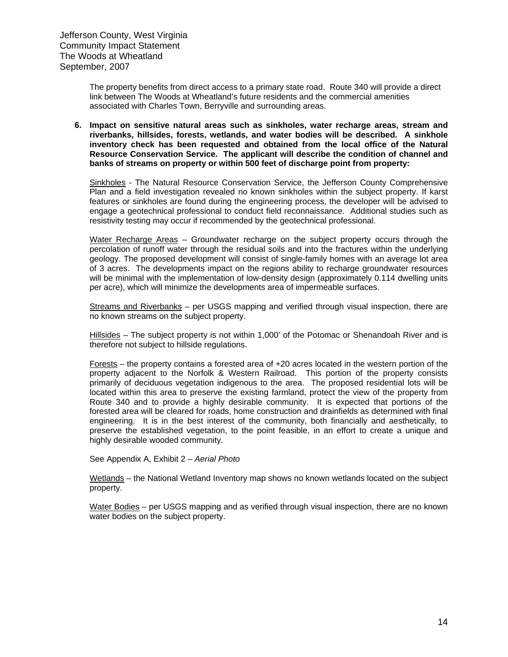The property benefits from direct access to a primary state road. Route 340 will provide a direct link between The Woods at Wheatland's future residents and the commercial amenities associated with Charles Town, Berryville and surrounding areas.

#### **6. Impact on sensitive natural areas such as sinkholes, water recharge areas, stream and riverbanks, hillsides, forests, wetlands, and water bodies will be described. A sinkhole inventory check has been requested and obtained from the local office of the Natural Resource Conservation Service. The applicant will describe the condition of channel and banks of streams on property or within 500 feet of discharge point from property:**

Sinkholes - The Natural Resource Conservation Service, the Jefferson County Comprehensive Plan and a field investigation revealed no known sinkholes within the subject property. If karst features or sinkholes are found during the engineering process, the developer will be advised to engage a geotechnical professional to conduct field reconnaissance. Additional studies such as resistivity testing may occur if recommended by the geotechnical professional.

Water Recharge Areas – Groundwater recharge on the subject property occurs through the percolation of runoff water through the residual soils and into the fractures within the underlying geology. The proposed development will consist of single-family homes with an average lot area of 3 acres. The developments impact on the regions ability to recharge groundwater resources will be minimal with the implementation of low-density design (approximately 0.114 dwelling units per acre), which will minimize the developments area of impermeable surfaces.

Streams and Riverbanks - per USGS mapping and verified through visual inspection. there are no known streams on the subject property.

Hillsides – The subject property is not within 1,000' of the Potomac or Shenandoah River and is therefore not subject to hillside regulations.

Forests – the property contains a forested area of +20 acres located in the western portion of the property adjacent to the Norfolk & Western Railroad. This portion of the property consists primarily of deciduous vegetation indigenous to the area. The proposed residential lots will be located within this area to preserve the existing farmland, protect the view of the property from Route 340 and to provide a highly desirable community. It is expected that portions of the forested area will be cleared for roads, home construction and drainfields as determined with final engineering. It is in the best interest of the community, both financially and aesthetically, to preserve the established vegetation, to the point feasible, in an effort to create a unique and highly desirable wooded community.

See Appendix A, Exhibit 2 *– Aerial Photo*

Wetlands – the National Wetland Inventory map shows no known wetlands located on the subject property.

Water Bodies – per USGS mapping and as verified through visual inspection, there are no known water bodies on the subject property.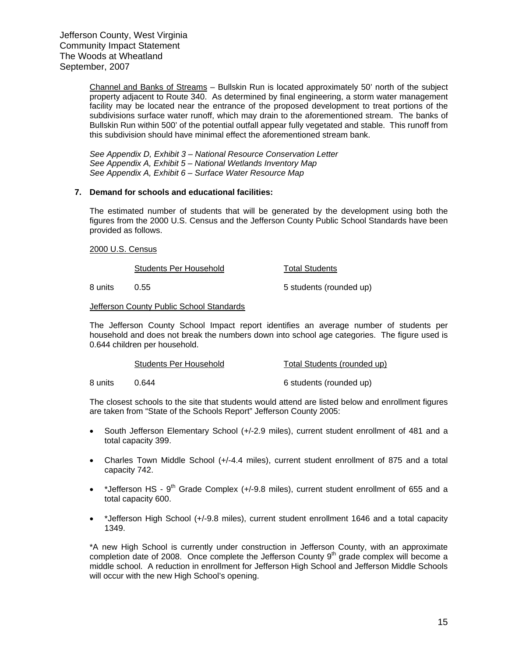Channel and Banks of Streams – Bullskin Run is located approximately 50' north of the subject property adjacent to Route 340. As determined by final engineering, a storm water management facility may be located near the entrance of the proposed development to treat portions of the subdivisions surface water runoff, which may drain to the aforementioned stream. The banks of Bullskin Run within 500' of the potential outfall appear fully vegetated and stable. This runoff from this subdivision should have minimal effect the aforementioned stream bank.

*See Appendix D, Exhibit 3 – National Resource Conservation Letter See Appendix A, Exhibit 5 – National Wetlands Inventory Map See Appendix A, Exhibit 6 – Surface Water Resource Map* 

#### **7. Demand for schools and educational facilities:**

The estimated number of students that will be generated by the development using both the figures from the 2000 U.S. Census and the Jefferson County Public School Standards have been provided as follows.

#### 2000 U.S. Census

Students Per Household Total Students

8 units 0.55 6 and 0.55 5 students (rounded up)

#### Jefferson County Public School Standards

The Jefferson County School Impact report identifies an average number of students per household and does not break the numbers down into school age categories. The figure used is 0.644 children per household.

| Students Per Household | Total Students (rounded up) |  |
|------------------------|-----------------------------|--|
|                        |                             |  |

8 units 0.644 6 students (rounded up)

The closest schools to the site that students would attend are listed below and enrollment figures are taken from "State of the Schools Report" Jefferson County 2005:

- South Jefferson Elementary School (+/-2.9 miles), current student enrollment of 481 and a total capacity 399.
- Charles Town Middle School (+/-4.4 miles), current student enrollment of 875 and a total capacity 742.
- \*Jefferson HS  $9^{th}$  Grade Complex (+/-9.8 miles), current student enrollment of 655 and a total capacity 600.
- \*Jefferson High School (+/-9.8 miles), current student enrollment 1646 and a total capacity 1349.

\*A new High School is currently under construction in Jefferson County, with an approximate completion date of 2008. Once complete the Jefferson County  $9<sup>th</sup>$  grade complex will become a middle school. A reduction in enrollment for Jefferson High School and Jefferson Middle Schools will occur with the new High School's opening.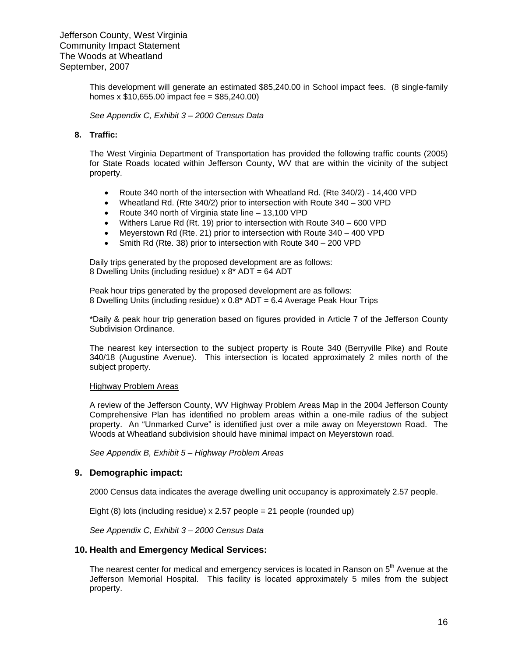This development will generate an estimated \$85,240.00 in School impact fees. (8 single-family homes x  $$10,655.00$  impact fee =  $$85,240.00$ )

*See Appendix C, Exhibit 3 – 2000 Census Data* 

#### **8. Traffic:**

The West Virginia Department of Transportation has provided the following traffic counts (2005) for State Roads located within Jefferson County, WV that are within the vicinity of the subject property.

- Route 340 north of the intersection with Wheatland Rd. (Rte 340/2) 14,400 VPD
- Wheatland Rd. (Rte 340/2) prior to intersection with Route 340 300 VPD
- Route 340 north of Virginia state line 13,100 VPD
- Withers Larue Rd (Rt. 19) prior to intersection with Route 340 600 VPD
- Meyerstown Rd (Rte. 21) prior to intersection with Route 340 400 VPD
- Smith Rd (Rte. 38) prior to intersection with Route 340 200 VPD

Daily trips generated by the proposed development are as follows: 8 Dwelling Units (including residue) x 8\* ADT = 64 ADT

Peak hour trips generated by the proposed development are as follows: 8 Dwelling Units (including residue) x 0.8\* ADT = 6.4 Average Peak Hour Trips

\*Daily & peak hour trip generation based on figures provided in Article 7 of the Jefferson County Subdivision Ordinance.

The nearest key intersection to the subject property is Route 340 (Berryville Pike) and Route 340/18 (Augustine Avenue). This intersection is located approximately 2 miles north of the subject property.

#### Highway Problem Areas

A review of the Jefferson County, WV Highway Problem Areas Map in the 2004 Jefferson County Comprehensive Plan has identified no problem areas within a one-mile radius of the subject property. An "Unmarked Curve" is identified just over a mile away on Meyerstown Road. The Woods at Wheatland subdivision should have minimal impact on Meyerstown road.

*See Appendix B, Exhibit 5 – Highway Problem Areas* 

#### **9. Demographic impact:**

2000 Census data indicates the average dwelling unit occupancy is approximately 2.57 people.

Eight (8) lots (including residue)  $x$  2.57 people = 21 people (rounded up)

*See Appendix C, Exhibit 3 – 2000 Census Data*

#### **10. Health and Emergency Medical Services:**

The nearest center for medical and emergency services is located in Ranson on 5<sup>th</sup> Avenue at the Jefferson Memorial Hospital. This facility is located approximately 5 miles from the subject property.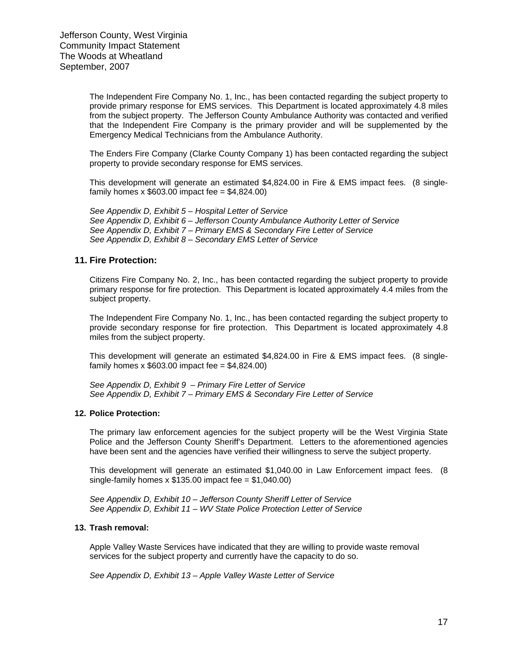The Independent Fire Company No. 1, Inc., has been contacted regarding the subject property to provide primary response for EMS services. This Department is located approximately 4.8 miles from the subject property. The Jefferson County Ambulance Authority was contacted and verified that the Independent Fire Company is the primary provider and will be supplemented by the Emergency Medical Technicians from the Ambulance Authority.

The Enders Fire Company (Clarke County Company 1) has been contacted regarding the subject property to provide secondary response for EMS services.

This development will generate an estimated \$4,824.00 in Fire & EMS impact fees. (8 singlefamily homes x  $$603.00$  impact fee =  $$4,824.00$ )

*See Appendix D, Exhibit 5 – Hospital Letter of Service See Appendix D, Exhibit 6 – Jefferson County Ambulance Authority Letter of Service See Appendix D, Exhibit 7 – Primary EMS & Secondary Fire Letter of Service See Appendix D, Exhibit 8 – Secondary EMS Letter of Service* 

#### **11. Fire Protection:**

Citizens Fire Company No. 2, Inc., has been contacted regarding the subject property to provide primary response for fire protection. This Department is located approximately 4.4 miles from the subject property.

The Independent Fire Company No. 1, Inc., has been contacted regarding the subject property to provide secondary response for fire protection. This Department is located approximately 4.8 miles from the subject property.

This development will generate an estimated \$4,824.00 in Fire & EMS impact fees. (8 singlefamily homes x  $$603.00$  impact fee =  $$4,824.00$ )

*See Appendix D, Exhibit 9 – Primary Fire Letter of Service See Appendix D, Exhibit 7 – Primary EMS & Secondary Fire Letter of Service* 

#### **12. Police Protection:**

The primary law enforcement agencies for the subject property will be the West Virginia State Police and the Jefferson County Sheriff's Department. Letters to the aforementioned agencies have been sent and the agencies have verified their willingness to serve the subject property.

This development will generate an estimated \$1,040.00 in Law Enforcement impact fees. (8 single-family homes  $x$  \$135.00 impact fee = \$1,040.00)

*See Appendix D, Exhibit 10 – Jefferson County Sheriff Letter of Service See Appendix D, Exhibit 11 – WV State Police Protection Letter of Service* 

#### **13. Trash removal:**

Apple Valley Waste Services have indicated that they are willing to provide waste removal services for the subject property and currently have the capacity to do so.

*See Appendix D, Exhibit 13 – Apple Valley Waste Letter of Service*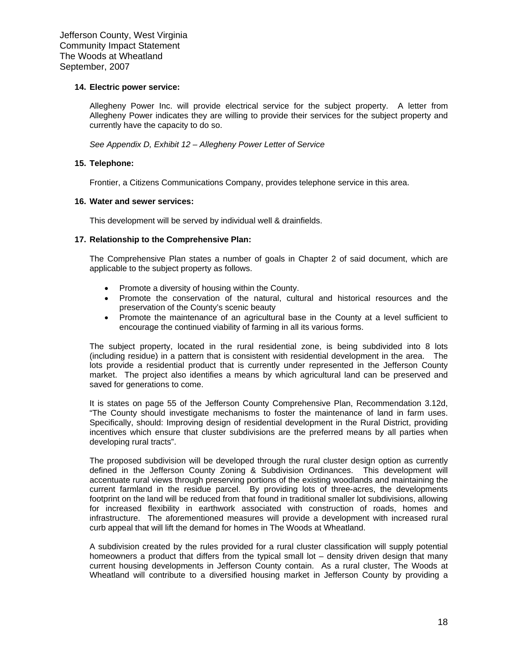#### **14. Electric power service:**

Allegheny Power Inc. will provide electrical service for the subject property. A letter from Allegheny Power indicates they are willing to provide their services for the subject property and currently have the capacity to do so.

*See Appendix D, Exhibit 12 – Allegheny Power Letter of Service*

#### **15. Telephone:**

Frontier, a Citizens Communications Company, provides telephone service in this area.

#### **16. Water and sewer services:**

This development will be served by individual well & drainfields.

#### **17. Relationship to the Comprehensive Plan:**

The Comprehensive Plan states a number of goals in Chapter 2 of said document, which are applicable to the subject property as follows.

- Promote a diversity of housing within the County.
- Promote the conservation of the natural, cultural and historical resources and the preservation of the County's scenic beauty
- Promote the maintenance of an agricultural base in the County at a level sufficient to encourage the continued viability of farming in all its various forms.

The subject property, located in the rural residential zone, is being subdivided into 8 lots (including residue) in a pattern that is consistent with residential development in the area. The lots provide a residential product that is currently under represented in the Jefferson County market. The project also identifies a means by which agricultural land can be preserved and saved for generations to come.

It is states on page 55 of the Jefferson County Comprehensive Plan, Recommendation 3.12d, "The County should investigate mechanisms to foster the maintenance of land in farm uses. Specifically, should: Improving design of residential development in the Rural District, providing incentives which ensure that cluster subdivisions are the preferred means by all parties when developing rural tracts".

The proposed subdivision will be developed through the rural cluster design option as currently defined in the Jefferson County Zoning & Subdivision Ordinances. This development will accentuate rural views through preserving portions of the existing woodlands and maintaining the current farmland in the residue parcel. By providing lots of three-acres, the developments footprint on the land will be reduced from that found in traditional smaller lot subdivisions, allowing for increased flexibility in earthwork associated with construction of roads, homes and infrastructure. The aforementioned measures will provide a development with increased rural curb appeal that will lift the demand for homes in The Woods at Wheatland.

A subdivision created by the rules provided for a rural cluster classification will supply potential homeowners a product that differs from the typical small lot – density driven design that many current housing developments in Jefferson County contain. As a rural cluster, The Woods at Wheatland will contribute to a diversified housing market in Jefferson County by providing a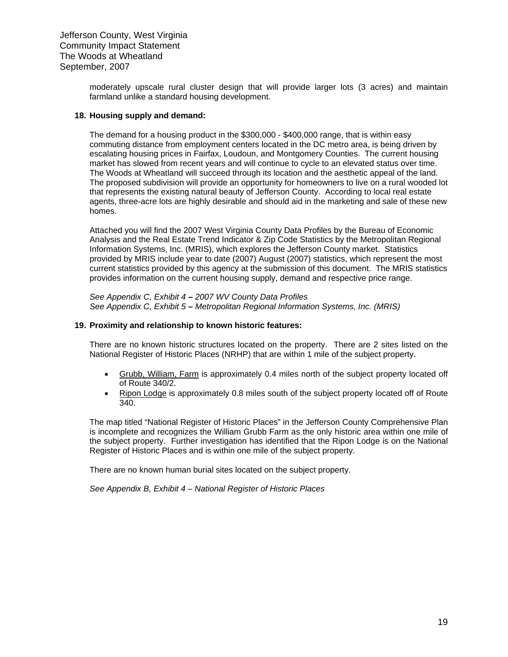> moderately upscale rural cluster design that will provide larger lots (3 acres) and maintain farmland unlike a standard housing development.

#### **18. Housing supply and demand:**

The demand for a housing product in the \$300,000 - \$400,000 range, that is within easy commuting distance from employment centers located in the DC metro area, is being driven by escalating housing prices in Fairfax, Loudoun, and Montgomery Counties. The current housing market has slowed from recent years and will continue to cycle to an elevated status over time. The Woods at Wheatland will succeed through its location and the aesthetic appeal of the land. The proposed subdivision will provide an opportunity for homeowners to live on a rural wooded lot that represents the existing natural beauty of Jefferson County. According to local real estate agents, three-acre lots are highly desirable and should aid in the marketing and sale of these new homes.

Attached you will find the 2007 West Virginia County Data Profiles by the Bureau of Economic Analysis and the Real Estate Trend Indicator & Zip Code Statistics by the Metropolitan Regional Information Systems, Inc. (MRIS), which explores the Jefferson County market. Statistics provided by MRIS include year to date (2007) August (2007) statistics, which represent the most current statistics provided by this agency at the submission of this document. The MRIS statistics provides information on the current housing supply, demand and respective price range.

*See Appendix C, Exhibit 4 – 2007 WV County Data Profiles See Appendix C, Exhibit 5 – Metropolitan Regional Information Systems, Inc. (MRIS)*

#### **19. Proximity and relationship to known historic features:**

There are no known historic structures located on the property. There are 2 sites listed on the National Register of Historic Places (NRHP) that are within 1 mile of the subject property.

- Grubb, William, Farm is approximately 0.4 miles north of the subject property located off of Route 340/2.
- Ripon Lodge is approximately 0.8 miles south of the subject property located off of Route 340.

The map titled "National Register of Historic Places" in the Jefferson County Comprehensive Plan is incomplete and recognizes the William Grubb Farm as the only historic area within one mile of the subject property. Further investigation has identified that the Ripon Lodge is on the National Register of Historic Places and is within one mile of the subject property.

There are no known human burial sites located on the subject property.

*See Appendix B, Exhibit 4 – National Register of Historic Places*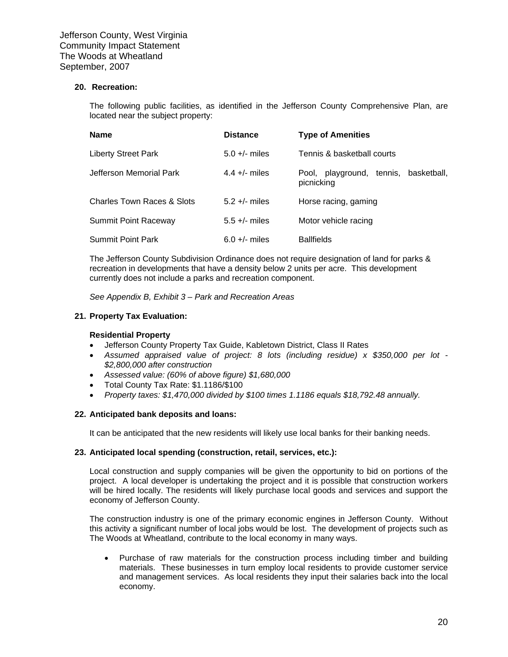#### **20. Recreation:**

The following public facilities, as identified in the Jefferson County Comprehensive Plan, are located near the subject property:

| <b>Name</b>                | <b>Distance</b> | <b>Type of Amenities</b>                            |
|----------------------------|-----------------|-----------------------------------------------------|
| <b>Liberty Street Park</b> | $5.0 +/-$ miles | Tennis & basketball courts                          |
| Jefferson Memorial Park    | 4.4 +/- miles   | Pool, playground, tennis, basketball,<br>picnicking |
| Charles Town Races & Slots | $5.2 +/-$ miles | Horse racing, gaming                                |
| Summit Point Raceway       | $5.5 +/-$ miles | Motor vehicle racing                                |
| <b>Summit Point Park</b>   | $6.0 +/-$ miles | <b>Ballfields</b>                                   |

The Jefferson County Subdivision Ordinance does not require designation of land for parks & recreation in developments that have a density below 2 units per acre. This development currently does not include a parks and recreation component.

*See Appendix B, Exhibit 3 – Park and Recreation Areas*

#### **21. Property Tax Evaluation:**

#### **Residential Property**

- Jefferson County Property Tax Guide, Kabletown District, Class II Rates
- *Assumed appraised value of project: 8 lots (including residue) x \$350,000 per lot \$2,800,000 after construction*
- *Assessed value: (60% of above figure) \$1,680,000*
- Total County Tax Rate: \$1.1186/\$100
- *Property taxes: \$1,470,000 divided by \$100 times 1.1186 equals \$18,792.48 annually.*

#### **22. Anticipated bank deposits and loans:**

It can be anticipated that the new residents will likely use local banks for their banking needs.

#### **23. Anticipated local spending (construction, retail, services, etc.):**

Local construction and supply companies will be given the opportunity to bid on portions of the project. A local developer is undertaking the project and it is possible that construction workers will be hired locally. The residents will likely purchase local goods and services and support the economy of Jefferson County.

The construction industry is one of the primary economic engines in Jefferson County. Without this activity a significant number of local jobs would be lost. The development of projects such as The Woods at Wheatland, contribute to the local economy in many ways.

• Purchase of raw materials for the construction process including timber and building materials. These businesses in turn employ local residents to provide customer service and management services. As local residents they input their salaries back into the local economy.